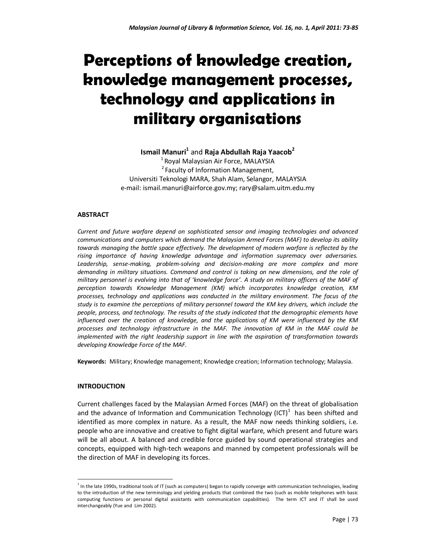# **Perceptions of knowledge creation, knowledge management processes, technology and applications in military organisations**

# **Ismail Manuri<sup>1</sup>** and **Raja Abdullah Raja Yaacob<sup>2</sup>**

 $<sup>1</sup>$  Royal Malaysian Air Force, MALAYSIA</sup> <sup>2</sup> Faculty of Information Management, Universiti Teknologi MARA, Shah Alam, Selangor, MALAYSIA e-mail: ismail.manuri@airforce.gov.my; rary@salam.uitm.edu.my

#### **ABSTRACT**

*Current and future warfare depend on sophisticated sensor and imaging technologies and advanced communications and computers which demand the Malaysian Armed Forces (MAF) to develop its ability towards managing the battle space effectively. The development of modern warfare is reflected by the rising importance of having knowledge advantage and information supremacy over adversaries. Leadership, sense-making, problem-solving and decision-making are more complex and more demanding in military situations. Command and control is taking on new dimensions, and the role of military personnel is evolving into that of 'knowledge force'. A study on military officers of the MAF of perception towards Knowledge Management (KM) which incorporates knowledge creation, KM processes, technology and applications was conducted in the military environment. The focus of the study is to examine the perceptions of military personnel toward the KM key drivers, which include the people, process, and technology. The results of the study indicated that the demographic elements have influenced over the creation of knowledge, and the applications of KM were influenced by the KM processes and technology infrastructure in the MAF. The innovation of KM in the MAF could be implemented with the right leadership support in line with the aspiration of transformation towards developing Knowledge Force of the MAF.* 

**Keywords:** Military; Knowledge management; Knowledge creation; Information technology; Malaysia.

#### **INTRODUCTION**

 $\overline{a}$ 

Current challenges faced by the Malaysian Armed Forces (MAF) on the threat of globalisation and the advance of Information and Communication Technology (ICT) $<sup>1</sup>$  has been shifted and</sup> identified as more complex in nature. As a result, the MAF now needs thinking soldiers, i.e. people who are innovative and creative to fight digital warfare, which present and future wars will be all about. A balanced and credible force guided by sound operational strategies and concepts, equipped with high-tech weapons and manned by competent professionals will be the direction of MAF in developing its forces.

<sup>&</sup>lt;sup>1</sup> In the late 1990s, traditional tools of IT (such as computers) began to rapidly converge with communication technologies, leading to the introduction of the new terminology and yielding products that combined the two (such as mobile telephones with basic computing functions or personal digital assistants with communication capabilities). The term ICT and IT shall be used interchangeably (Yue and Lim 2002).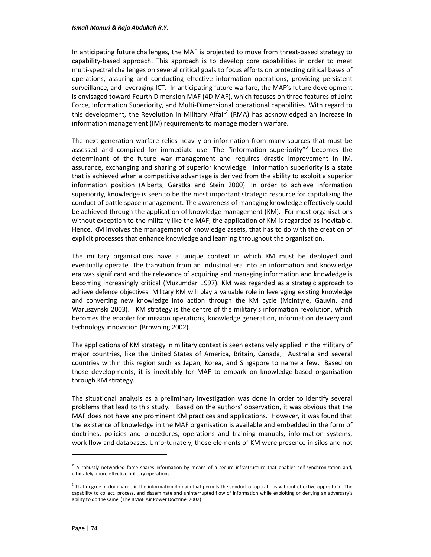In anticipating future challenges, the MAF is projected to move from threat-based strategy to capability-based approach. This approach is to develop core capabilities in order to meet multi-spectral challenges on several critical goals to focus efforts on protecting critical bases of operations, assuring and conducting effective information operations, providing persistent surveillance, and leveraging ICT. In anticipating future warfare, the MAF's future development is envisaged toward Fourth Dimension MAF (4D MAF), which focuses on three features of Joint Force, Information Superiority, and Multi-Dimensional operational capabilities. With regard to this development, the Revolution in Military Affair<sup>2</sup> (RMA) has acknowledged an increase in information management (IM) requirements to manage modern warfare.

The next generation warfare relies heavily on information from many sources that must be assessed and compiled for immediate use. The "information superiority"<sup>3</sup> becomes the determinant of the future war management and requires drastic improvement in IM, assurance, exchanging and sharing of superior knowledge. Information superiority is a state that is achieved when a competitive advantage is derived from the ability to exploit a superior information position (Alberts, Garstka and Stein 2000). In order to achieve information superiority, knowledge is seen to be the most important strategic resource for capitalizing the conduct of battle space management. The awareness of managing knowledge effectively could be achieved through the application of knowledge management (KM). For most organisations without exception to the military like the MAF, the application of KM is regarded as inevitable. Hence, KM involves the management of knowledge assets, that has to do with the creation of explicit processes that enhance knowledge and learning throughout the organisation.

The military organisations have a unique context in which KM must be deployed and eventually operate. The transition from an industrial era into an information and knowledge era was significant and the relevance of acquiring and managing information and knowledge is becoming increasingly critical (Muzumdar 1997). KM was regarded as a strategic approach to achieve defence objectives. Military KM will play a valuable role in leveraging existing knowledge and converting new knowledge into action through the KM cycle (McIntyre, Gauvin, and Waruszynski 2003). KM strategy is the centre of the military's information revolution, which becomes the enabler for mission operations, knowledge generation, information delivery and technology innovation (Browning 2002).

The applications of KM strategy in military context is seen extensively applied in the military of major countries, like the United States of America, Britain, Canada, Australia and several countries within this region such as Japan, Korea, and Singapore to name a few. Based on those developments, it is inevitably for MAF to embark on knowledge-based organisation through KM strategy.

The situational analysis as a preliminary investigation was done in order to identify several problems that lead to this study. Based on the authors' observation, it was obvious that the MAF does not have any prominent KM practices and applications. However, it was found that the existence of knowledge in the MAF organisation is available and embedded in the form of doctrines, policies and procedures, operations and training manuals, information systems, work flow and databases. Unfortunately, those elements of KM were presence in silos and not

 $^2$  A robustly networked force shares information by means of a secure infrastructure that enables self-synchronization and, ultimately, more effective military operations.

<sup>&</sup>lt;sup>3</sup> That degree of dominance in the information domain that permits the conduct of operations without effective opposition. The capability to collect, process, and disseminate and uninterrupted flow of information while exploiting or denying an adversary's ability to do the same (The RMAF Air Power Doctrine 2002)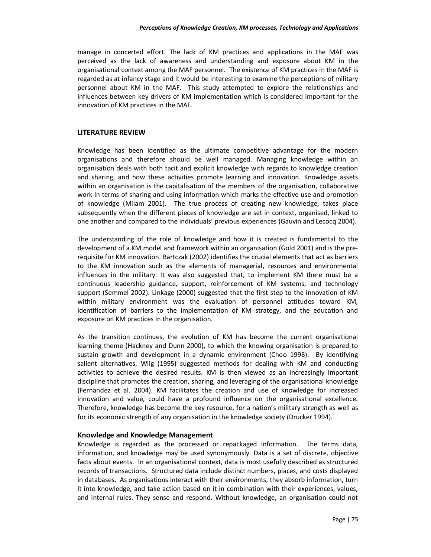manage in concerted effort. The lack of KM practices and applications in the MAF was perceived as the lack of awareness and understanding and exposure about KM in the organisational context among the MAF personnel. The existence of KM practices in the MAF is regarded as at infancy stage and it would be interesting to examine the perceptions of military personnel about KM in the MAF. This study attempted to explore the relationships and influences between key drivers of KM implementation which is considered important for the innovation of KM practices in the MAF.

# **LITERATURE REVIEW**

Knowledge has been identified as the ultimate competitive advantage for the modern organisations and therefore should be well managed. Managing knowledge within an organisation deals with both tacit and explicit knowledge with regards to knowledge creation and sharing, and how these activities promote learning and innovation. Knowledge assets within an organisation is the capitalisation of the members of the organisation, collaborative work in terms of sharing and using information which marks the effective use and promotion of knowledge (Milam 2001). The true process of creating new knowledge, takes place subsequently when the different pieces of knowledge are set in context, organised, linked to one another and compared to the individuals' previous experiences (Gauvin and Lecocq 2004).

The understanding of the role of knowledge and how it is created is fundamental to the development of a KM model and framework within an organisation (Gold 2001) and is the prerequisite for KM innovation. Bartczak (2002) identifies the crucial elements that act as barriers to the KM innovation such as the elements of managerial, resources and environmental influences in the military. It was also suggested that, to implement KM there must be a continuous leadership guidance, support, reinforcement of KM systems, and technology support (Semmel 2002). Linkage (2000) suggested that the first step to the innovation of KM within military environment was the evaluation of personnel attitudes toward KM, identification of barriers to the implementation of KM strategy, and the education and exposure on KM practices in the organisation.

As the transition continues, the evolution of KM has become the current organisational learning theme (Hackney and Dunn 2000), to which the knowing organisation is prepared to sustain growth and development in a dynamic environment (Choo 1998). By identifying salient alternatives, Wiig (1995) suggested methods for dealing with KM and conducting activities to achieve the desired results. KM is then viewed as an increasingly important discipline that promotes the creation, sharing, and leveraging of the organisational knowledge (Fernandez et al. 2004). KM facilitates the creation and use of knowledge for increased innovation and value, could have a profound influence on the organisational excellence. Therefore, knowledge has become the key resource, for a nation's military strength as well as for its economic strength of any organisation in the knowledge society (Drucker 1994).

# **Knowledge and Knowledge Management**

Knowledge is regarded as the processed or repackaged information. The terms data, information, and knowledge may be used synonymously. Data is a set of discrete, objective facts about events. In an organisational context, data is most usefully described as structured records of transactions. Structured data include distinct numbers, places, and costs displayed in databases. As organisations interact with their environments, they absorb information, turn it into knowledge, and take action based on it in combination with their experiences, values, and internal rules. They sense and respond. Without knowledge, an organisation could not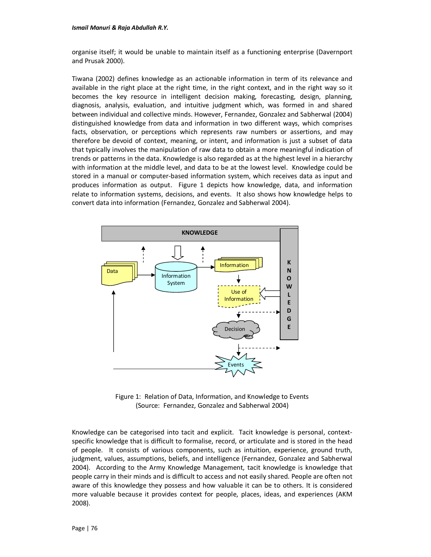organise itself; it would be unable to maintain itself as a functioning enterprise (Davernport and Prusak 2000).

Tiwana (2002) defines knowledge as an actionable information in term of its relevance and available in the right place at the right time, in the right context, and in the right way so it becomes the key resource in intelligent decision making, forecasting, design, planning, diagnosis, analysis, evaluation, and intuitive judgment which, was formed in and shared between individual and collective minds. However, Fernandez, Gonzalez and Sabherwal (2004) distinguished knowledge from data and information in two different ways, which comprises facts, observation, or perceptions which represents raw numbers or assertions, and may therefore be devoid of context, meaning, or intent, and information is just a subset of data that typically involves the manipulation of raw data to obtain a more meaningful indication of trends or patterns in the data. Knowledge is also regarded as at the highest level in a hierarchy with information at the middle level, and data to be at the lowest level. Knowledge could be stored in a manual or computer-based information system, which receives data as input and produces information as output. Figure 1 depicts how knowledge, data, and information relate to information systems, decisions, and events. It also shows how knowledge helps to convert data into information (Fernandez, Gonzalez and Sabherwal 2004).



Figure 1: Relation of Data, Information, and Knowledge to Events (Source: Fernandez, Gonzalez and Sabherwal 2004)

Knowledge can be categorised into tacit and explicit. Tacit knowledge is personal, contextspecific knowledge that is difficult to formalise, record, or articulate and is stored in the head of people. It consists of various components, such as intuition, experience, ground truth, judgment, values, assumptions, beliefs, and intelligence (Fernandez, Gonzalez and Sabherwal 2004). According to the Army Knowledge Management, tacit knowledge is knowledge that people carry in their minds and is difficult to access and not easily shared. People are often not aware of this knowledge they possess and how valuable it can be to others. It is considered more valuable because it provides context for people, places, ideas, and experiences (AKM 2008).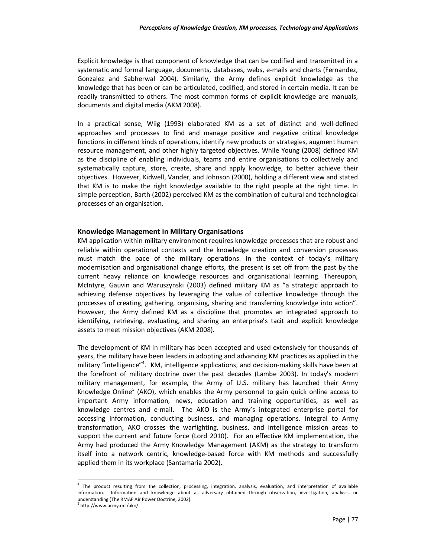Explicit knowledge is that component of knowledge that can be codified and transmitted in a systematic and formal language, documents, databases, webs, e-mails and charts (Fernandez, Gonzalez and Sabherwal 2004). Similarly, the Army defines explicit knowledge as the knowledge that has been or can be articulated, codified, and stored in certain media. It can be readily transmitted to others. The most common forms of explicit knowledge are manuals, documents and digital media (AKM 2008).

In a practical sense, Wiig (1993) elaborated KM as a set of distinct and well-defined approaches and processes to find and manage positive and negative critical knowledge functions in different kinds of operations, identify new products or strategies, augment human resource management, and other highly targeted objectives. While Young (2008) defined KM as the discipline of enabling individuals, teams and entire organisations to collectively and systematically capture, store, create, share and apply knowledge, to better achieve their objectives. However, Kidwell, Vander, and Johnson (2000), holding a different view and stated that KM is to make the right knowledge available to the right people at the right time. In simple perception, Barth (2002) perceived KM as the combination of cultural and technological processes of an organisation.

#### **Knowledge Management in Military Organisations**

KM application within military environment requires knowledge processes that are robust and reliable within operational contexts and the knowledge creation and conversion processes must match the pace of the military operations. In the context of today's military modernisation and organisational change efforts, the present is set off from the past by the current heavy reliance on knowledge resources and organisational learning. Thereupon, McIntyre, Gauvin and Waruszynski (2003) defined military KM as "a strategic approach to achieving defense objectives by leveraging the value of collective knowledge through the processes of creating, gathering, organising, sharing and transferring knowledge into action". However, the Army defined KM as a discipline that promotes an integrated approach to identifying, retrieving, evaluating, and sharing an enterprise's tacit and explicit knowledge assets to meet mission objectives (AKM 2008).

The development of KM in military has been accepted and used extensively for thousands of years, the military have been leaders in adopting and advancing KM practices as applied in the military "intelligence"<sup>4</sup>. KM, intelligence applications, and decision-making skills have been at the forefront of military doctrine over the past decades (Lambe 2003). In today's modern military management, for example, the Army of U.S. military has launched their Army Knowledge Online<sup>5</sup> (AKO), which enables the Army personnel to gain quick online access to important Army information, news, education and training opportunities, as well as knowledge centres and e-mail. The AKO is the Army's integrated enterprise portal for accessing information, conducting business, and managing operations. Integral to Army transformation, AKO crosses the warfighting, business, and intelligence mission areas to support the current and future force (Lord 2010). For an effective KM implementation, the Army had produced the Army Knowledge Management (AKM) as the strategy to transform itself into a network centric, knowledge-based force with KM methods and successfully applied them in its workplace (Santamaria 2002).

<sup>&</sup>lt;sup>4</sup> The product resulting from the collection, processing, integration, analysis, evaluation, and interpretation of available information. Information and knowledge about as adversary obtained through observation, investigation, analysis, or understanding (The RMAF Air Power Doctrine, 2002).

<sup>5</sup> http://www.army.mil/ako/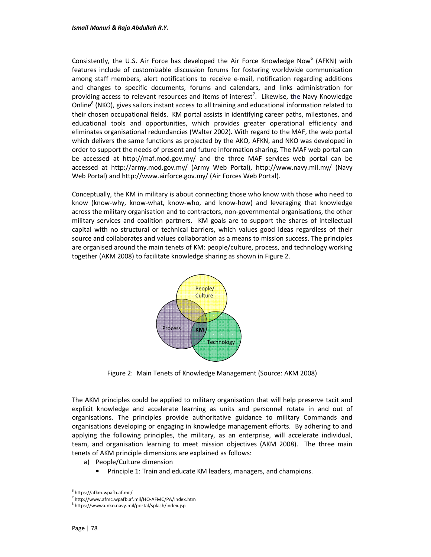Consistently, the U.S. Air Force has developed the Air Force Knowledge Now $^6$  (AFKN) with features include of customizable discussion forums for fostering worldwide communication among staff members, alert notifications to receive e-mail, notification regarding additions and changes to specific documents, forums and calendars, and links administration for providing access to relevant resources and items of interest<sup>7</sup>. Likewise, the Navy Knowledge Online<sup>8</sup> (NKO), gives sailors instant access to all training and educational information related to their chosen occupational fields. KM portal assists in identifying career paths, milestones, and educational tools and opportunities, which provides greater operational efficiency and eliminates organisational redundancies (Walter 2002). With regard to the MAF, the web portal which delivers the same functions as projected by the AKO, AFKN, and NKO was developed in order to support the needs of present and future information sharing. The MAF web portal can be accessed at http://maf.mod.gov.my/ and the three MAF services web portal can be accessed at http://army.mod.gov.my/ (Army Web Portal), http://www.navy.mil.my/ (Navy Web Portal) and http://www.airforce.gov.my/ (Air Forces Web Portal).

Conceptually, the KM in military is about connecting those who know with those who need to know (know-why, know-what, know-who, and know-how) and leveraging that knowledge across the military organisation and to contractors, non-governmental organisations, the other military services and coalition partners. KM goals are to support the shares of intellectual capital with no structural or technical barriers, which values good ideas regardless of their source and collaborates and values collaboration as a means to mission success. The principles are organised around the main tenets of KM: people/culture, process, and technology working together (AKM 2008) to facilitate knowledge sharing as shown in Figure 2.



Figure 2: Main Tenets of Knowledge Management (Source: AKM 2008)

The AKM principles could be applied to military organisation that will help preserve tacit and explicit knowledge and accelerate learning as units and personnel rotate in and out of organisations. The principles provide authoritative guidance to military Commands and organisations developing or engaging in knowledge management efforts. By adhering to and applying the following principles, the military, as an enterprise, will accelerate individual, team, and organisation learning to meet mission objectives (AKM 2008). The three main tenets of AKM principle dimensions are explained as follows:

- a) People/Culture dimension
	- Principle 1: Train and educate KM leaders, managers, and champions.

<sup>6</sup> https://afkm.wpafb.af.mil/

<sup>7</sup> http://www.afmc.wpafb.af.mil/HQ-AFMC/PA/index.htm

<sup>8</sup> https://wwwa.nko.navy.mil/portal/splash/index.jsp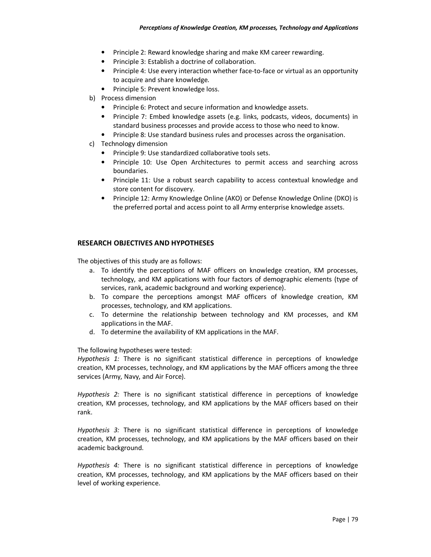- Principle 2: Reward knowledge sharing and make KM career rewarding.
- Principle 3: Establish a doctrine of collaboration.
- Principle 4: Use every interaction whether face-to-face or virtual as an opportunity to acquire and share knowledge.
- Principle 5: Prevent knowledge loss.
- b) Process dimension
	- Principle 6: Protect and secure information and knowledge assets.
	- Principle 7: Embed knowledge assets (e.g. links, podcasts, videos, documents) in standard business processes and provide access to those who need to know.
	- Principle 8: Use standard business rules and processes across the organisation.
- c) Technology dimension
	- Principle 9: Use standardized collaborative tools sets.
	- Principle 10: Use Open Architectures to permit access and searching across boundaries.
	- Principle 11: Use a robust search capability to access contextual knowledge and store content for discovery.
	- Principle 12: Army Knowledge Online (AKO) or Defense Knowledge Online (DKO) is the preferred portal and access point to all Army enterprise knowledge assets.

#### **RESEARCH OBJECTIVES AND HYPOTHESES**

The objectives of this study are as follows:

- a. To identify the perceptions of MAF officers on knowledge creation, KM processes, technology, and KM applications with four factors of demographic elements (type of services, rank, academic background and working experience).
- b. To compare the perceptions amongst MAF officers of knowledge creation, KM processes, technology, and KM applications.
- c. To determine the relationship between technology and KM processes, and KM applications in the MAF.
- d. To determine the availability of KM applications in the MAF.

The following hypotheses were tested:

*Hypothesis 1:* There is no significant statistical difference in perceptions of knowledge creation, KM processes, technology, and KM applications by the MAF officers among the three services (Army, Navy, and Air Force).

*Hypothesis 2:* There is no significant statistical difference in perceptions of knowledge creation, KM processes, technology, and KM applications by the MAF officers based on their rank.

*Hypothesis 3:* There is no significant statistical difference in perceptions of knowledge creation, KM processes, technology, and KM applications by the MAF officers based on their academic background.

*Hypothesis 4:* There is no significant statistical difference in perceptions of knowledge creation, KM processes, technology, and KM applications by the MAF officers based on their level of working experience.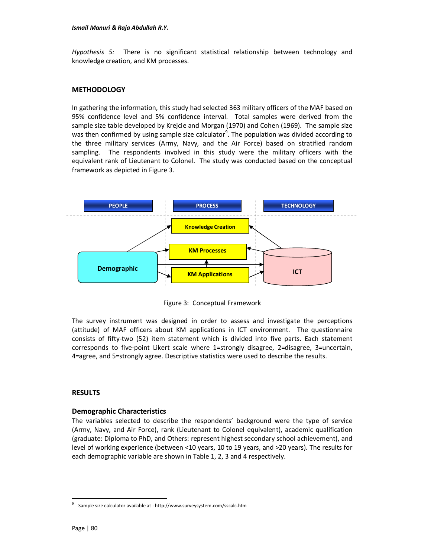*Hypothesis 5:*There is no significant statistical relationship between technology and knowledge creation, and KM processes.

#### **METHODOLOGY**

In gathering the information, this study had selected 363 military officers of the MAF based on 95% confidence level and 5% confidence interval. Total samples were derived from the sample size table developed by Krejcie and Morgan (1970) and Cohen (1969). The sample size was then confirmed by using sample size calculator<sup>9</sup>. The population was divided according to the three military services (Army, Navy, and the Air Force) based on stratified random sampling.The respondents involved in this study were the military officers with the equivalent rank of Lieutenant to Colonel. The study was conducted based on the conceptual framework as depicted in Figure 3.



Figure 3: Conceptual Framework

The survey instrument was designed in order to assess and investigate the perceptions (attitude) of MAF officers about KM applications in ICT environment. The questionnaire consists of fifty-two (52) item statement which is divided into five parts. Each statement corresponds to five-point Likert scale where 1=strongly disagree, 2=disagree, 3=uncertain, 4=agree, and 5=strongly agree. Descriptive statistics were used to describe the results.

# **RESULTS**

#### **Demographic Characteristics**

The variables selected to describe the respondents' background were the type of service (Army, Navy, and Air Force), rank (Lieutenant to Colonel equivalent), academic qualification (graduate: Diploma to PhD, and Others: represent highest secondary school achievement), and level of working experience (between <10 years, 10 to 19 years, and >20 years). The results for each demographic variable are shown in Table 1, 2, 3 and 4 respectively.

<sup>9</sup> Sample size calculator available at : http://www.surveysystem.com/sscalc.htm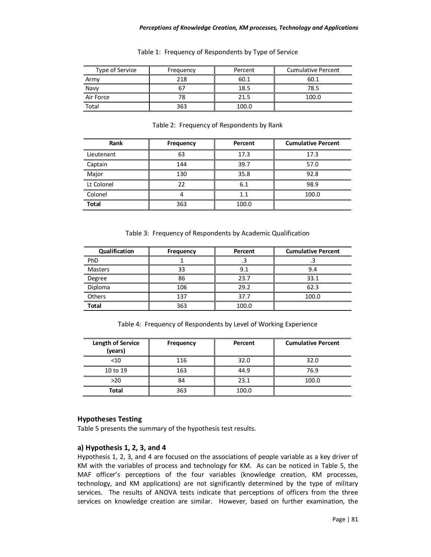#### *Perceptions of Knowledge Creation, KM processes, Technology and Applications*

| Type of Service | Frequency | Percent | <b>Cumulative Percent</b> |
|-----------------|-----------|---------|---------------------------|
| Army            | 218       | 60.1    | 60.1                      |
| Navy            |           | 18.5    | 78.5                      |
| Air Force       |           | 21.5    | 100.0                     |
| Total           | 363       | 100.0   |                           |

#### Table 1: Frequency of Respondents by Type of Service

#### Table 2: Frequency of Respondents by Rank

| Rank         | Frequency | Percent | <b>Cumulative Percent</b> |
|--------------|-----------|---------|---------------------------|
| Lieutenant   | 63        | 17.3    | 17.3                      |
| Captain      | 144       | 39.7    | 57.0                      |
| Major        | 130       | 35.8    | 92.8                      |
| Lt Colonel   | 22        | 6.1     | 98.9                      |
| Colonel      |           | 1.1     | 100.0                     |
| <b>Total</b> | 363       | 100.0   |                           |

#### Table 3: Frequency of Respondents by Academic Qualification

| Qualification  | Frequency | Percent | <b>Cumulative Percent</b> |
|----------------|-----------|---------|---------------------------|
| PhD            |           | د.      | ر .                       |
| <b>Masters</b> | 33        | 9.1     | 9.4                       |
| Degree         | 86        | 23.7    | 33.1                      |
| Diploma        | 106       | 29.2    | 62.3                      |
| Others         | 137       | 37.7    | 100.0                     |
| <b>Total</b>   | 363       | 100.0   |                           |

Table 4: Frequency of Respondents by Level of Working Experience

| Length of Service<br>(years) | Frequency | Percent | <b>Cumulative Percent</b> |
|------------------------------|-----------|---------|---------------------------|
| < 10                         | 116       | 32.0    | 32.0                      |
| 10 to 19                     | 163       | 44.9    | 76.9                      |
| $>20$                        | 84        | 23.1    | 100.0                     |
| Total                        | 363       | 100.0   |                           |

# **Hypotheses Testing**

Table 5 presents the summary of the hypothesis test results.

# **a) Hypothesis 1, 2, 3, and 4**

Hypothesis 1, 2, 3, and 4 are focused on the associations of people variable as a key driver of KM with the variables of process and technology for KM. As can be noticed in Table 5, the MAF officer's perceptions of the four variables (knowledge creation, KM processes, technology, and KM applications) are not significantly determined by the type of military services. The results of ANOVA tests indicate that perceptions of officers from the three services on knowledge creation are similar. However, based on further examination, the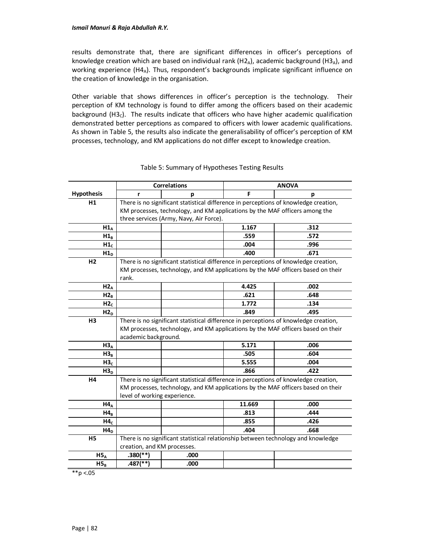results demonstrate that, there are significant differences in officer's perceptions of knowledge creation which are based on individual rank (H2<sub>A</sub>), academic background (H3<sub>A</sub>), and working experience (H4A). Thus, respondent's backgrounds implicate significant influence on the creation of knowledge in the organisation.

Other variable that shows differences in officer's perception is the technology. Their perception of KM technology is found to differ among the officers based on their academic background  $(H3<sub>c</sub>)$ . The results indicate that officers who have higher academic qualification demonstrated better perceptions as compared to officers with lower academic qualifications. As shown in Table 5, the results also indicate the generalisability of officer's perception of KM processes, technology, and KM applications do not differ except to knowledge creation.

|                   | <b>Correlations</b>                                                                  |                                                                                      |        | <b>ANOVA</b>                                                                     |  |
|-------------------|--------------------------------------------------------------------------------------|--------------------------------------------------------------------------------------|--------|----------------------------------------------------------------------------------|--|
| <b>Hypothesis</b> | r                                                                                    | р                                                                                    | F      | р                                                                                |  |
| H1                | There is no significant statistical difference in perceptions of knowledge creation, |                                                                                      |        |                                                                                  |  |
|                   | KM processes, technology, and KM applications by the MAF officers among the          |                                                                                      |        |                                                                                  |  |
|                   | three services (Army, Navy, Air Force).                                              |                                                                                      |        |                                                                                  |  |
| $H1_A$            |                                                                                      |                                                                                      | 1.167  | .312                                                                             |  |
| $H1_B$            |                                                                                      |                                                                                      | .559   | .572                                                                             |  |
| H1 <sub>c</sub>   |                                                                                      |                                                                                      | .004   | .996                                                                             |  |
| $H1_D$            |                                                                                      |                                                                                      | .400   | .671                                                                             |  |
| H <sub>2</sub>    | There is no significant statistical difference in perceptions of knowledge creation, |                                                                                      |        |                                                                                  |  |
|                   | KM processes, technology, and KM applications by the MAF officers based on their     |                                                                                      |        |                                                                                  |  |
|                   | rank.                                                                                |                                                                                      |        |                                                                                  |  |
| $H2_A$            |                                                                                      |                                                                                      | 4.425  | .002                                                                             |  |
| $H2_B$            |                                                                                      |                                                                                      | .621   | .648                                                                             |  |
| H2 <sub>c</sub>   |                                                                                      |                                                                                      | 1.772  | .134                                                                             |  |
| $H2_D$            |                                                                                      |                                                                                      | .849   | .495                                                                             |  |
| H <sub>3</sub>    |                                                                                      | There is no significant statistical difference in perceptions of knowledge creation, |        |                                                                                  |  |
|                   |                                                                                      |                                                                                      |        | KM processes, technology, and KM applications by the MAF officers based on their |  |
|                   | academic background.                                                                 |                                                                                      |        |                                                                                  |  |
| $H3_A$            |                                                                                      |                                                                                      | 5.171  | .006                                                                             |  |
| $H3_R$            |                                                                                      |                                                                                      | .505   | .604                                                                             |  |
| H3 <sub>c</sub>   |                                                                                      |                                                                                      | 5.555  | .004                                                                             |  |
| H3 <sub>D</sub>   |                                                                                      |                                                                                      | .866   | .422                                                                             |  |
| H4                |                                                                                      | There is no significant statistical difference in perceptions of knowledge creation, |        |                                                                                  |  |
|                   |                                                                                      |                                                                                      |        | KM processes, technology, and KM applications by the MAF officers based on their |  |
|                   | level of working experience.                                                         |                                                                                      |        |                                                                                  |  |
| $H4_A$            |                                                                                      |                                                                                      | 11.669 | .000                                                                             |  |
| $HA_B$            |                                                                                      |                                                                                      | .813   | .444                                                                             |  |
| H4 <sub>c</sub>   |                                                                                      |                                                                                      | .855   | .426                                                                             |  |
| $H4_D$            |                                                                                      |                                                                                      | .404   | .668                                                                             |  |
| H <sub>5</sub>    |                                                                                      | There is no significant statistical relationship between technology and knowledge    |        |                                                                                  |  |
|                   | creation, and KM processes.                                                          |                                                                                      |        |                                                                                  |  |
| $H5_A$            | $.380$ (**)                                                                          | .000                                                                                 |        |                                                                                  |  |
| $H5_B$            | $.487$ <sup>(**)</sup> )                                                             | .000                                                                                 |        |                                                                                  |  |
| $*$ $p$ <.05      |                                                                                      |                                                                                      |        |                                                                                  |  |

# Table 5: Summary of Hypotheses Testing Results

Page | 82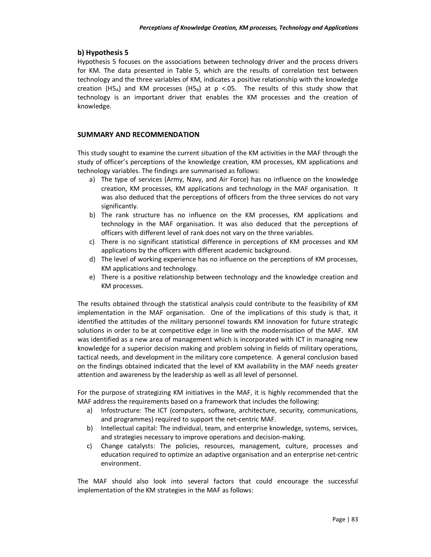# **b) Hypothesis 5**

Hypothesis 5 focuses on the associations between technology driver and the process drivers for KM. The data presented in Table 5, which are the results of correlation test between technology and the three variables of KM, indicates a positive relationship with the knowledge creation (H5<sub>A</sub>) and KM processes (H5<sub>B</sub>) at p <.05. The results of this study show that technology is an important driver that enables the KM processes and the creation of knowledge.

# **SUMMARY AND RECOMMENDATION**

This study sought to examine the current situation of the KM activities in the MAF through the study of officer's perceptions of the knowledge creation, KM processes, KM applications and technology variables. The findings are summarised as follows:

- a) The type of services (Army, Navy, and Air Force) has no influence on the knowledge creation, KM processes, KM applications and technology in the MAF organisation. It was also deduced that the perceptions of officers from the three services do not vary significantly.
- b) The rank structure has no influence on the KM processes, KM applications and technology in the MAF organisation. It was also deduced that the perceptions of officers with different level of rank does not vary on the three variables.
- c) There is no significant statistical difference in perceptions of KM processes and KM applications by the officers with different academic background.
- d) The level of working experience has no influence on the perceptions of KM processes, KM applications and technology.
- e) There is a positive relationship between technology and the knowledge creation and KM processes.

The results obtained through the statistical analysis could contribute to the feasibility of KM implementation in the MAF organisation. One of the implications of this study is that, it identified the attitudes of the military personnel towards KM innovation for future strategic solutions in order to be at competitive edge in line with the modernisation of the MAF. KM was identified as a new area of management which is incorporated with ICT in managing new knowledge for a superior decision making and problem solving in fields of military operations, tactical needs, and development in the military core competence. A general conclusion based on the findings obtained indicated that the level of KM availability in the MAF needs greater attention and awareness by the leadership as well as all level of personnel.

For the purpose of strategizing KM initiatives in the MAF, it is highly recommended that the MAF address the requirements based on a framework that includes the following:

- a) Infostructure: The ICT (computers, software, architecture, security, communications, and programmes) required to support the net-centric MAF.
- b) Intellectual capital: The individual, team, and enterprise knowledge, systems, services, and strategies necessary to improve operations and decision-making.
- c) Change catalysts: The policies, resources, management, culture, processes and education required to optimize an adaptive organisation and an enterprise net-centric environment.

The MAF should also look into several factors that could encourage the successful implementation of the KM strategies in the MAF as follows: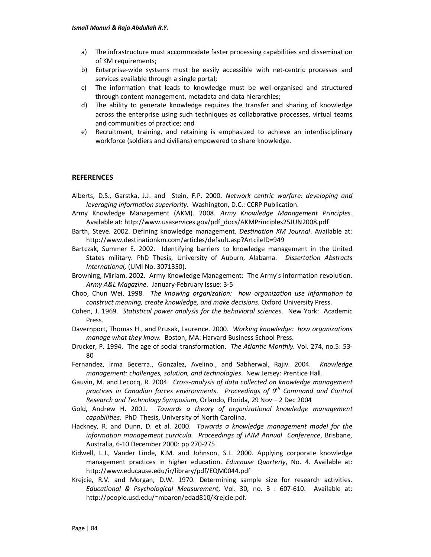- a) The infrastructure must accommodate faster processing capabilities and dissemination of KM requirements;
- b) Enterprise-wide systems must be easily accessible with net-centric processes and services available through a single portal;
- c) The information that leads to knowledge must be well-organised and structured through content management, metadata and data hierarchies;
- d) The ability to generate knowledge requires the transfer and sharing of knowledge across the enterprise using such techniques as collaborative processes, virtual teams and communities of practice; and
- e) Recruitment, training, and retaining is emphasized to achieve an interdisciplinary workforce (soldiers and civilians) empowered to share knowledge.

#### **REFERENCES**

- Alberts, D.S., Garstka, J.J. and Stein, F.P. 2000. *Network centric warfare: developing and leveraging information superiority.* Washington, D.C.: CCRP Publication.
- Army Knowledge Management (AKM). 2008. *Army Knowledge Management Principles.*  Available at: http://www.usaservices.gov/pdf\_docs/AKMPrinciples25JUN2008.pdf
- Barth, Steve. 2002. Defining knowledge management. *Destination KM Journal*. Available at: http://www.destinationkm.com/articles/default.asp?ArtcileID=949
- Bartczak, Summer E. 2002. Identifying barriers to knowledge management in the United States military. PhD Thesis, University of Auburn, Alabama. *Dissertation Abstracts International,* (UMI No. 3071350).
- Browning, Miriam. 2002. Army Knowledge Management: The Army's information revolution. *Army A&L Magazine*. January-February Issue: 3-5
- Choo, Chun Wei. 1998. *The knowing organization: how organization use information to construct meaning, create knowledge, and make decisions.* Oxford University Press.
- Cohen, J. 1969. *Statistical power analysis for the behavioral sciences*. New York: Academic Press.
- Davernport, Thomas H., and Prusak, Laurence. 2000. *Working knowledge: how organizations manage what they know.* Boston, MA: Harvard Business School Press.
- Drucker, P. 1994. The age of social transformation. *The Atlantic Monthly.* Vol. 274, no.5: 53- 80
- Fernandez, Irma Becerra., Gonzalez, Avelino., and Sabherwal, Rajiv. 2004. *Knowledge management: challenges, solution, and technologies*. New Jersey: Prentice Hall.
- Gauvin, M. and Lecocq, R. 2004. *Cross-analysis of data collected on knowledge management practices in Canadian forces environments*. *Proceedings of 9th Command and Control Research and Technology Symposium,* Orlando, Florida, 29 Nov – 2 Dec 2004
- Gold, Andrew H. 2001. *Towards a theory of organizational knowledge management capabilities*. PhD Thesis, University of North Carolina.
- Hackney, R. and Dunn, D. et al. 2000. *Towards a knowledge management model for the information management curricula. Proceedings of IAIM Annual Conference*, Brisbane, Australia, 6-10 December 2000: pp 270-275
- Kidwell, L.J., Vander Linde, K.M. and Johnson, S.L. 2000. Applying corporate knowledge management practices in higher education. *Educause Quarterly*, No. 4. Available at: http://www.educause.edu/ir/library/pdf/EQM0044.pdf
- Krejcie, R.V. and Morgan, D.W. 1970. Determining sample size for research activities. *Educational & Psychological Measurement*, Vol. 30, no. 3 : 607-610. Available at: http://people.usd.edu/~mbaron/edad810/Krejcie.pdf.